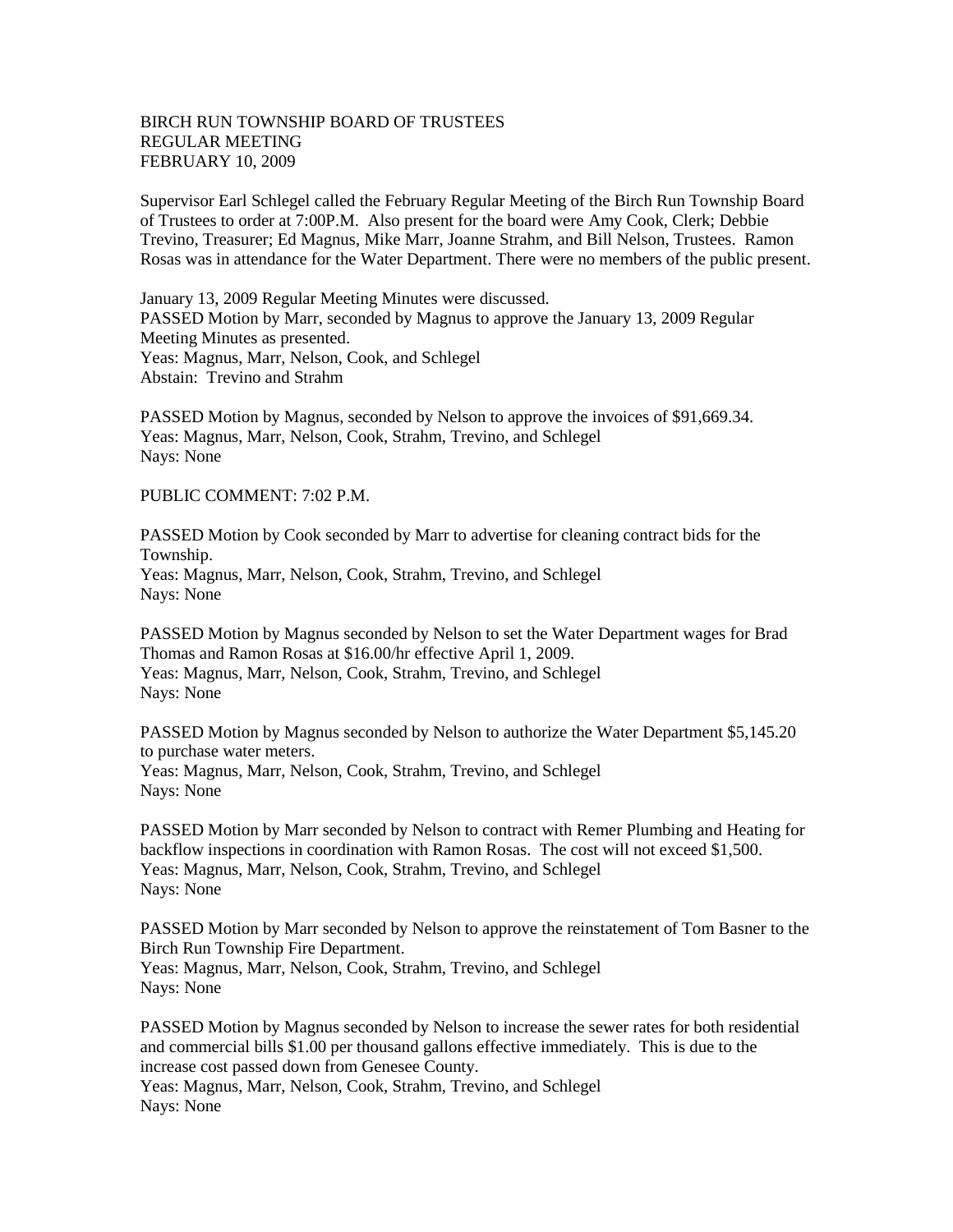## BIRCH RUN TOWNSHIP BOARD OF TRUSTEES REGULAR MEETING FEBRUARY 10, 2009

Supervisor Earl Schlegel called the February Regular Meeting of the Birch Run Township Board of Trustees to order at 7:00P.M. Also present for the board were Amy Cook, Clerk; Debbie Trevino, Treasurer; Ed Magnus, Mike Marr, Joanne Strahm, and Bill Nelson, Trustees. Ramon Rosas was in attendance for the Water Department. There were no members of the public present.

January 13, 2009 Regular Meeting Minutes were discussed. PASSED Motion by Marr, seconded by Magnus to approve the January 13, 2009 Regular Meeting Minutes as presented. Yeas: Magnus, Marr, Nelson, Cook, and Schlegel Abstain: Trevino and Strahm

PASSED Motion by Magnus, seconded by Nelson to approve the invoices of \$91,669.34. Yeas: Magnus, Marr, Nelson, Cook, Strahm, Trevino, and Schlegel Nays: None

PUBLIC COMMENT: 7:02 P.M.

PASSED Motion by Cook seconded by Marr to advertise for cleaning contract bids for the Township. Yeas: Magnus, Marr, Nelson, Cook, Strahm, Trevino, and Schlegel Nays: None

PASSED Motion by Magnus seconded by Nelson to set the Water Department wages for Brad Thomas and Ramon Rosas at \$16.00/hr effective April 1, 2009. Yeas: Magnus, Marr, Nelson, Cook, Strahm, Trevino, and Schlegel Nays: None

PASSED Motion by Magnus seconded by Nelson to authorize the Water Department \$5,145.20 to purchase water meters. Yeas: Magnus, Marr, Nelson, Cook, Strahm, Trevino, and Schlegel Nays: None

PASSED Motion by Marr seconded by Nelson to contract with Remer Plumbing and Heating for backflow inspections in coordination with Ramon Rosas. The cost will not exceed \$1,500. Yeas: Magnus, Marr, Nelson, Cook, Strahm, Trevino, and Schlegel Nays: None

PASSED Motion by Marr seconded by Nelson to approve the reinstatement of Tom Basner to the Birch Run Township Fire Department. Yeas: Magnus, Marr, Nelson, Cook, Strahm, Trevino, and Schlegel Nays: None

PASSED Motion by Magnus seconded by Nelson to increase the sewer rates for both residential and commercial bills \$1.00 per thousand gallons effective immediately. This is due to the increase cost passed down from Genesee County. Yeas: Magnus, Marr, Nelson, Cook, Strahm, Trevino, and Schlegel

Nays: None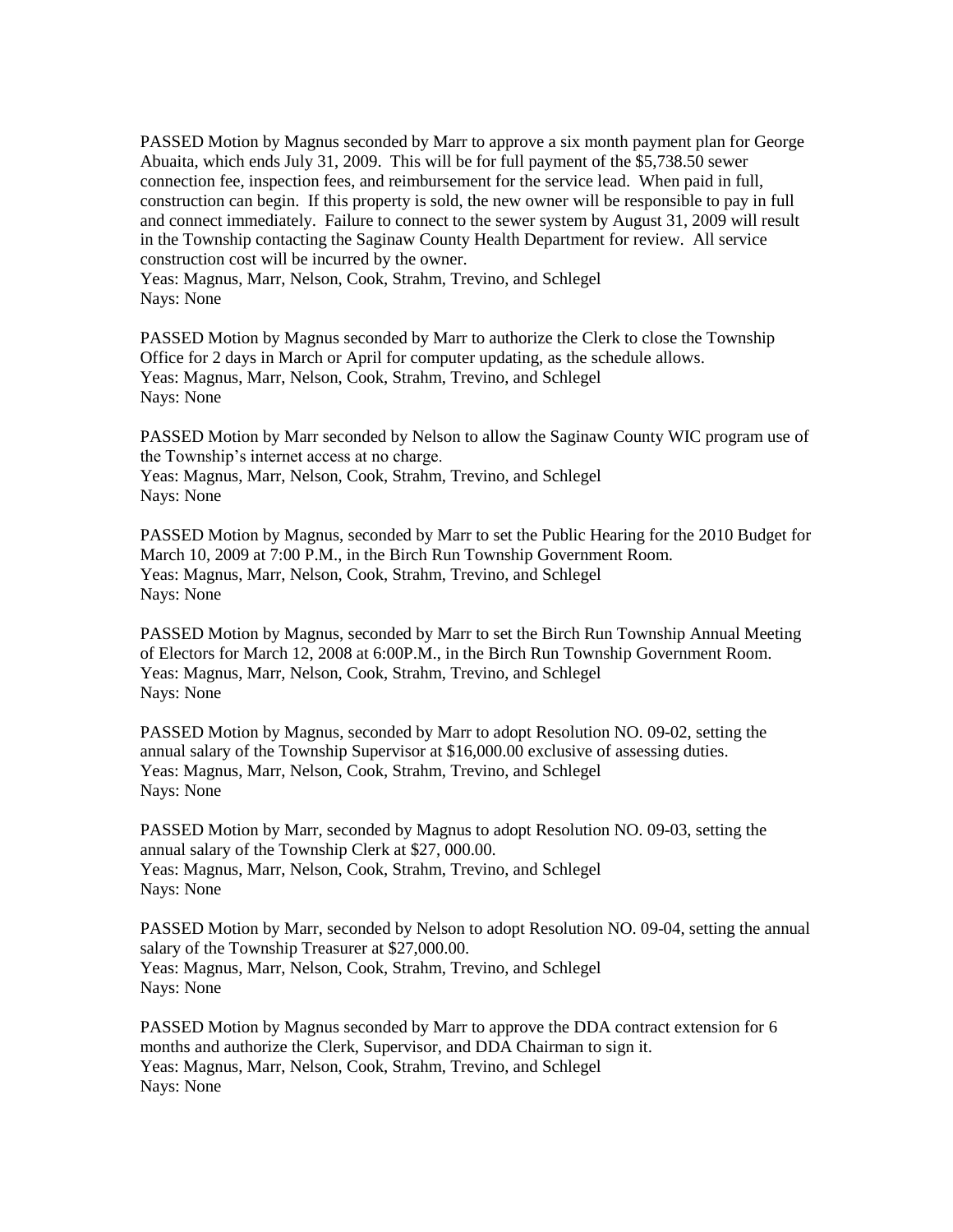PASSED Motion by Magnus seconded by Marr to approve a six month payment plan for George Abuaita, which ends July 31, 2009. This will be for full payment of the \$5,738.50 sewer connection fee, inspection fees, and reimbursement for the service lead. When paid in full, construction can begin. If this property is sold, the new owner will be responsible to pay in full and connect immediately. Failure to connect to the sewer system by August 31, 2009 will result in the Township contacting the Saginaw County Health Department for review. All service construction cost will be incurred by the owner.

Yeas: Magnus, Marr, Nelson, Cook, Strahm, Trevino, and Schlegel Nays: None

PASSED Motion by Magnus seconded by Marr to authorize the Clerk to close the Township Office for 2 days in March or April for computer updating, as the schedule allows. Yeas: Magnus, Marr, Nelson, Cook, Strahm, Trevino, and Schlegel Nays: None

PASSED Motion by Marr seconded by Nelson to allow the Saginaw County WIC program use of the Township's internet access at no charge. Yeas: Magnus, Marr, Nelson, Cook, Strahm, Trevino, and Schlegel Nays: None

PASSED Motion by Magnus, seconded by Marr to set the Public Hearing for the 2010 Budget for March 10, 2009 at 7:00 P.M., in the Birch Run Township Government Room. Yeas: Magnus, Marr, Nelson, Cook, Strahm, Trevino, and Schlegel Nays: None

PASSED Motion by Magnus, seconded by Marr to set the Birch Run Township Annual Meeting of Electors for March 12, 2008 at 6:00P.M., in the Birch Run Township Government Room. Yeas: Magnus, Marr, Nelson, Cook, Strahm, Trevino, and Schlegel Nays: None

PASSED Motion by Magnus, seconded by Marr to adopt Resolution NO. 09-02, setting the annual salary of the Township Supervisor at \$16,000.00 exclusive of assessing duties. Yeas: Magnus, Marr, Nelson, Cook, Strahm, Trevino, and Schlegel Nays: None

PASSED Motion by Marr, seconded by Magnus to adopt Resolution NO. 09-03, setting the annual salary of the Township Clerk at \$27, 000.00. Yeas: Magnus, Marr, Nelson, Cook, Strahm, Trevino, and Schlegel Nays: None

PASSED Motion by Marr, seconded by Nelson to adopt Resolution NO. 09-04, setting the annual salary of the Township Treasurer at \$27,000.00. Yeas: Magnus, Marr, Nelson, Cook, Strahm, Trevino, and Schlegel Nays: None

PASSED Motion by Magnus seconded by Marr to approve the DDA contract extension for 6 months and authorize the Clerk, Supervisor, and DDA Chairman to sign it. Yeas: Magnus, Marr, Nelson, Cook, Strahm, Trevino, and Schlegel Nays: None